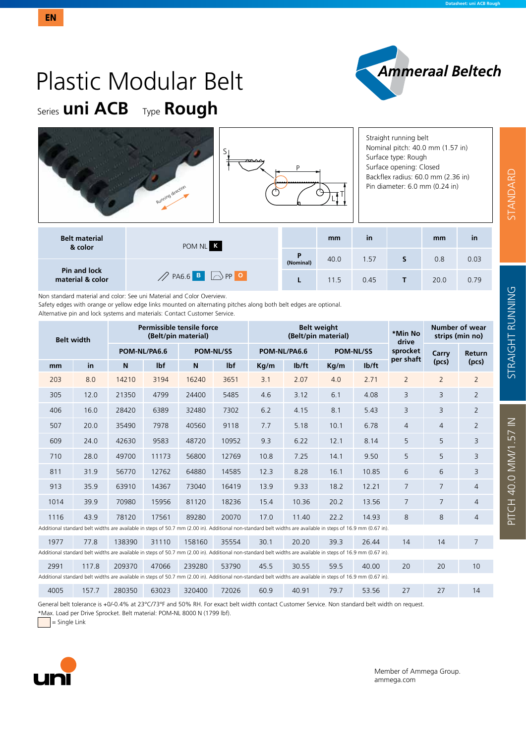PITCH 40.0 MM/1.57 IN STANDARD STRAIGHT RUNNING

PITCH 40.0 MM/1.57 IN

**STRAIGHT RUNNING** 

STANDARD





Non standard material and color: See uni Material and Color Overview.

Safety edges with orange or yellow edge links mounted on alternating pitches along both belt edges are optional. Alternative pin and lock systems and materials: Contact Customer Service.

| <b>Belt width</b> |       |                                                                                                                                                               |            | Permissible tensile force<br>(Belt/pin material) |       |              | <b>Belt weight</b><br>(Belt/pin material) |                  | *Min No<br>drive   | Number of wear<br>strips (min no) |                |                |
|-------------------|-------|---------------------------------------------------------------------------------------------------------------------------------------------------------------|------------|--------------------------------------------------|-------|--------------|-------------------------------------------|------------------|--------------------|-----------------------------------|----------------|----------------|
|                   |       | POM-NL/PA6.6                                                                                                                                                  |            | <b>POM-NL/SS</b>                                 |       | POM-NL/PA6.6 |                                           | <b>POM-NL/SS</b> |                    | sprocket<br>per shaft             | Carry          | Return         |
| mm                | in    | $\mathsf{N}$                                                                                                                                                  | <b>Ibf</b> | N                                                | lbf   | Kg/m         | Ib/ft                                     | Kg/m             | I <sub>b</sub> /ft |                                   | (pcs)          | (pcs)          |
| 203               | 8.0   | 14210                                                                                                                                                         | 3194       | 16240                                            | 3651  | 3.1          | 2.07                                      | 4.0              | 2.71               | $\overline{2}$                    | $\overline{2}$ | $\overline{2}$ |
| 305               | 12.0  | 21350                                                                                                                                                         | 4799       | 24400                                            | 5485  | 4.6          | 3.12                                      | 6.1              | 4.08               | 3                                 | $\overline{3}$ | $\overline{2}$ |
| 406               | 16.0  | 28420                                                                                                                                                         | 6389       | 32480                                            | 7302  | 6.2          | 4.15                                      | 8.1              | 5.43               | 3                                 | $\overline{3}$ | $\overline{2}$ |
| 507               | 20.0  | 35490                                                                                                                                                         | 7978       | 40560                                            | 9118  | 7.7          | 5.18                                      | 10.1             | 6.78               | $\overline{4}$                    | $\overline{4}$ | $\overline{2}$ |
| 609               | 24.0  | 42630                                                                                                                                                         | 9583       | 48720                                            | 10952 | 9.3          | 6.22                                      | 12.1             | 8.14               | 5                                 | 5              | 3              |
| 710               | 28.0  | 49700                                                                                                                                                         | 11173      | 56800                                            | 12769 | 10.8         | 7.25                                      | 14.1             | 9.50               | 5                                 | 5              | 3              |
| 811               | 31.9  | 56770                                                                                                                                                         | 12762      | 64880                                            | 14585 | 12.3         | 8.28                                      | 16.1             | 10.85              | 6                                 | 6              | 3              |
| 913               | 35.9  | 63910                                                                                                                                                         | 14367      | 73040                                            | 16419 | 13.9         | 9.33                                      | 18.2             | 12.21              | $\overline{7}$                    | $\overline{7}$ | $\overline{4}$ |
| 1014              | 39.9  | 70980                                                                                                                                                         | 15956      | 81120                                            | 18236 | 15.4         | 10.36                                     | 20.2             | 13.56              | $\overline{7}$                    | $\overline{7}$ | $\overline{4}$ |
| 1116              | 43.9  | 78120                                                                                                                                                         | 17561      | 89280                                            | 20070 | 17.0         | 11.40                                     | 22.2             | 14.93              | 8                                 | 8              | $\overline{4}$ |
|                   |       | Additional standard belt widths are available in steps of 50.7 mm (2.00 in). Additional non-standard belt widths are available in steps of 16.9 mm (0.67 in). |            |                                                  |       |              |                                           |                  |                    |                                   |                |                |
| 1977              | 77.8  | 138390                                                                                                                                                        | 31110      | 158160                                           | 35554 | 30.1         | 20.20                                     | 39.3             | 26.44              | 14                                | 14             | 7              |
|                   |       | Additional standard belt widths are available in steps of 50.7 mm (2.00 in). Additional non-standard belt widths are available in steps of 16.9 mm (0.67 in). |            |                                                  |       |              |                                           |                  |                    |                                   |                |                |
| 2991              | 117.8 | 209370                                                                                                                                                        | 47066      | 239280                                           | 53790 | 45.5         | 30.55                                     | 59.5             | 40.00              | 20                                | 20             | 10             |
|                   |       | Additional standard belt widths are available in steps of 50.7 mm (2.00 in). Additional non-standard belt widths are available in steps of 16.9 mm (0.67 in). |            |                                                  |       |              |                                           |                  |                    |                                   |                |                |
| 4005              | 157.7 | 280350                                                                                                                                                        | 63023      | 320400                                           | 72026 | 60.9         | 40.91                                     | 79.7             | 53.56              | 27                                | 27             | 14             |

General belt tolerance is +0/-0.4% at 23°C/73°F and 50% RH. For exact belt width contact Customer Service. Non standard belt width on request.

\*Max. Load per Drive Sprocket. Belt material: POM-NL 8000 N (1799 lbf).

 $=$  Single Link



Member of Ammega Group. ammega.com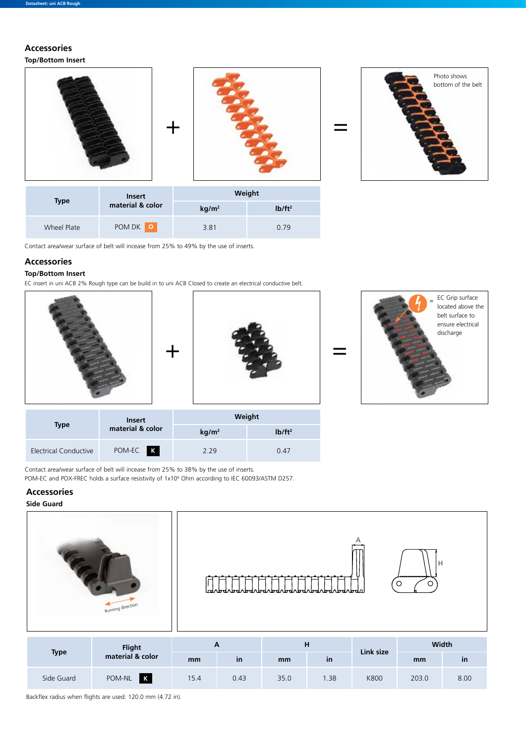# **Accessories**



Contact area/wear surface of belt will incease from 25% to 49% by the use of inserts.

### **Accessories**

## **Top/Bottom Insert**

EC insert in uni ACB 2% Rough type can be build in to uni ACB Closed to create an electrical conductive belt.

Wheel Plate POM DK **<sup>O</sup>** 3.81 0.79







|                       | <b>Insert</b>    |                   | Weight    |
|-----------------------|------------------|-------------------|-----------|
| Type                  | material & color | kg/m <sup>2</sup> | $Ib/ft^2$ |
| Electrical Conductive | POM-EC K         | 229               | 0.47      |

Contact area/wear surface of belt will incease from 25% to 38% by the use of inserts.

POM-EC and POX-FREC holds a surface resistivity of 1x10<sup>6</sup> Ohm according to IEC 60093/ASTM D257.

## **Accessories**

#### **Side Guard**







A

|             | Flight<br>material & color |      |           | н    |              | Link size   | <b>Width</b> |              |  |
|-------------|----------------------------|------|-----------|------|--------------|-------------|--------------|--------------|--|
| <b>Type</b> |                            | mm   | <b>in</b> | mm   | $\mathsf{I}$ |             | mm           | $\mathsf{I}$ |  |
| Side Guard  | POM-NL K                   | 15.4 | 0.43      | 35.0 | .38          | <b>K800</b> | 203.0        | 8.00         |  |

Backflex radius when flights are used: 120.0 mm (4.72 in).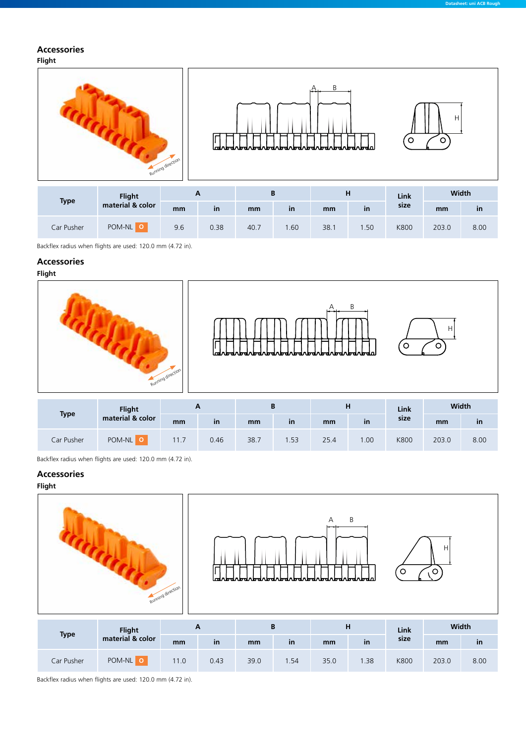## **Accessories**

**Flight**



| <b>Type</b> | <b>Flight</b>    | <br><u>r</u> |      |      |              |      | ш            | Link        | <u>vviuul</u> |      |
|-------------|------------------|--------------|------|------|--------------|------|--------------|-------------|---------------|------|
|             | material & color | mm           | ın   | mm   | $\mathsf{I}$ | mm   | $\mathsf{I}$ | size        | mm            | ın   |
| Car Pusher  | POM-NL           | 9.6          | 0.38 | 40.7 | .60          | 38.7 | .50          | <b>K800</b> | 203.0         | 8.00 |

Backflex radius when flights are used: 120.0 mm (4.72 in).

#### **Accessories**

**Flight**







|             | Flight           | A    |      |      |           | н    |              | Link | Width |      |
|-------------|------------------|------|------|------|-----------|------|--------------|------|-------|------|
| <b>Type</b> | material & color | mm   | ın   | mm   | <b>in</b> | mm   | $\mathsf{I}$ | size | mm    | in   |
| Car Pusher  | POM-NL           | 11.7 | 0.46 | 38.7 | .53       | 25.4 | .00          | K800 | 203.0 | 8.00 |

Backflex radius when flights are used: 120.0 mm (4.72 in).

#### **Accessories**

#### **Flight**



|             | <b>Flight</b>    | ~    |      | D    |     |      | н             | Link | <b>Width</b> |      |
|-------------|------------------|------|------|------|-----|------|---------------|------|--------------|------|
| <b>Type</b> | material & color | mm   | in   | mm   | in  | mm   | $\mathsf{in}$ | size | mm           | in   |
| Car Pusher  | POM-NL           | 11.0 | 0.43 | 39.0 | .54 | 35.0 | .38           | K800 | 203.0        | 8.00 |

Backflex radius when flights are used: 120.0 mm (4.72 in).